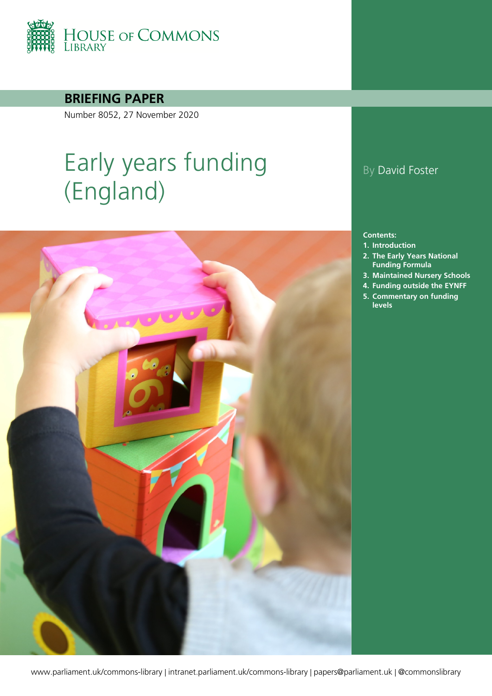

**BRIEFING PAPER**

Number 8052, 27 November 2020

# Early years funding (England)



## By David Foster

#### **Contents:**

- **1. [Introduction](#page-4-0)**
- **2. [The Early Years National](#page-5-0)  [Funding Formula](#page-5-0)**
- **3. [Maintained Nursery Schools](#page-10-0)**
- **4. [Funding outside the EYNFF](#page-13-0)**
- **5. [Commentary on funding](#page-16-0)  [levels](#page-16-0)**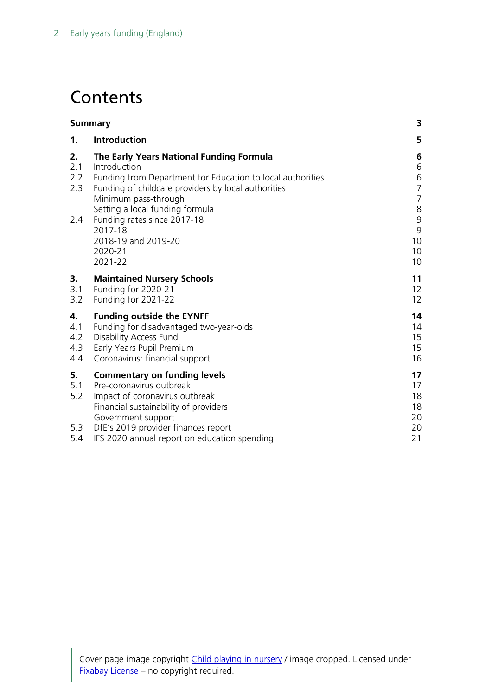## **Contents**

| <b>Summary</b>                                                                                                                                                                                          | 3                                                                               |
|---------------------------------------------------------------------------------------------------------------------------------------------------------------------------------------------------------|---------------------------------------------------------------------------------|
| Introduction                                                                                                                                                                                            | 5                                                                               |
| The Early Years National Funding Formula<br>Introduction<br>Funding from Department for Education to local authorities<br>Funding of childcare providers by local authorities<br>Minimum pass-through   | 6<br>6<br>6<br>$\overline{7}$<br>$\overline{7}$                                 |
| Funding rates since 2017-18<br>2017-18<br>2018-19 and 2019-20<br>2020-21<br>2021-22                                                                                                                     | $\,8\,$<br>9<br>9<br>10<br>10<br>10                                             |
| <b>Maintained Nursery Schools</b><br>Funding for 2020-21<br>Funding for 2021-22                                                                                                                         | 11<br>12<br>12                                                                  |
| <b>Funding outside the EYNFF</b><br>Funding for disadvantaged two-year-olds<br><b>Disability Access Fund</b><br>Early Years Pupil Premium<br>Coronavirus: financial support                             | 14<br>14<br>15<br>15<br>16                                                      |
| <b>Commentary on funding levels</b><br>Pre-coronavirus outbreak<br>Impact of coronavirus outbreak<br>Financial sustainability of providers<br>Government support<br>DfE's 2019 provider finances report | 17<br>17<br>18<br>18<br>20<br>20<br>21                                          |
|                                                                                                                                                                                                         | Setting a local funding formula<br>IFS 2020 annual report on education spending |

Cover page image copyright [Child playing in nursery](https://pixabay.com/photos/nursery-child-mother-school-2114173/) / image cropped. Licensed under [Pixabay](https://pixabay.com/service/license/) License - no copyright required.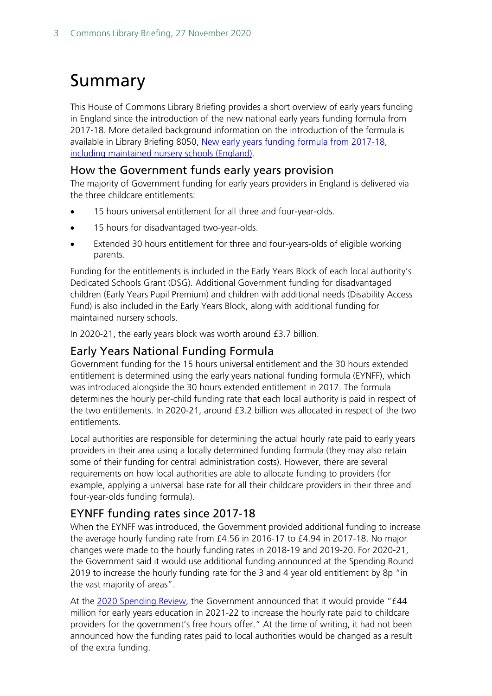## <span id="page-2-0"></span>Summary

This House of Commons Library Briefing provides a short overview of early years funding in England since the introduction of the new national early years funding formula from 2017-18. More detailed background information on the introduction of the formula is available in Library Briefing 8050, [New early years funding formula from 2017-18,](https://commonslibrary.parliament.uk/research-briefings/cbp-8050/)  [including maintained nursery schools \(England\).](https://commonslibrary.parliament.uk/research-briefings/cbp-8050/)

#### How the Government funds early years provision

The majority of Government funding for early years providers in England is delivered via the three childcare entitlements:

- 15 hours universal entitlement for all three and four-year-olds.
- 15 hours for disadvantaged two-year-olds.
- Extended 30 hours entitlement for three and four-years-olds of eligible working parents.

Funding for the entitlements is included in the Early Years Block of each local authority's Dedicated Schools Grant (DSG). Additional Government funding for disadvantaged children (Early Years Pupil Premium) and children with additional needs (Disability Access Fund) is also included in the Early Years Block, along with additional funding for maintained nursery schools.

In 2020-21, the early years block was worth around £3.7 billion.

### Early Years National Funding Formula

Government funding for the 15 hours universal entitlement and the 30 hours extended entitlement is determined using the early years national funding formula (EYNFF), which was introduced alongside the 30 hours extended entitlement in 2017. The formula determines the hourly per-child funding rate that each local authority is paid in respect of the two entitlements. In 2020-21, around £3.2 billion was allocated in respect of the two entitlements.

Local authorities are responsible for determining the actual hourly rate paid to early years providers in their area using a locally determined funding formula (they may also retain some of their funding for central administration costs). However, there are several requirements on how local authorities are able to allocate funding to providers (for example, applying a universal base rate for all their childcare providers in their three and four-year-olds funding formula).

### EYNFF funding rates since 2017-18

When the EYNFF was introduced, the Government provided additional funding to increase the average hourly funding rate from £4.56 in 2016-17 to £4.94 in 2017-18. No major changes were made to the hourly funding rates in 2018-19 and 2019-20. For 2020-21, the Government said it would use additional funding announced at the Spending Round 2019 to increase the hourly funding rate for the 3 and 4 year old entitlement by 8p "in the vast majority of areas".

At the [2020 Spending Review,](https://www.gov.uk/government/publications/spending-review-2020-documents) the Government announced that it would provide "£44 million for early years education in 2021-22 to increase the hourly rate paid to childcare providers for the government's free hours offer." At the time of writing, it had not been announced how the funding rates paid to local authorities would be changed as a result of the extra funding.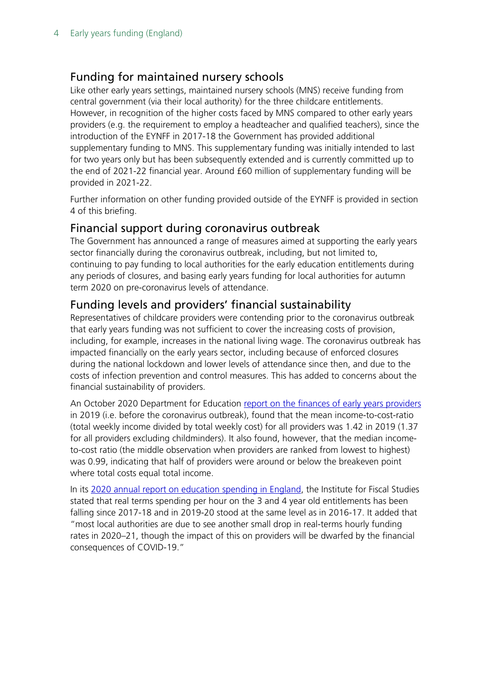### Funding for maintained nursery schools

Like other early years settings, maintained nursery schools (MNS) receive funding from central government (via their local authority) for the three childcare entitlements. However, in recognition of the higher costs faced by MNS compared to other early years providers (e.g. the requirement to employ a headteacher and qualified teachers), since the introduction of the EYNFF in 2017-18 the Government has provided additional supplementary funding to MNS. This supplementary funding was initially intended to last for two years only but has been subsequently extended and is currently committed up to the end of 2021-22 financial year. Around £60 million of supplementary funding will be provided in 2021-22.

Further information on other funding provided outside of the EYNFF is provided in section 4 of this briefing.

### Financial support during coronavirus outbreak

The Government has announced a range of measures aimed at supporting the early years sector financially during the coronavirus outbreak, including, but not limited to, continuing to pay funding to local authorities for the early education entitlements during any periods of closures, and basing early years funding for local authorities for autumn term 2020 on pre-coronavirus levels of attendance.

### Funding levels and providers' financial sustainability

Representatives of childcare providers were contending prior to the coronavirus outbreak that early years funding was not sufficient to cover the increasing costs of provision, including, for example, increases in the national living wage. The coronavirus outbreak has impacted financially on the early years sector, including because of enforced closures during the national lockdown and lower levels of attendance since then, and due to the costs of infection prevention and control measures. This has added to concerns about the financial sustainability of providers.

An October 2020 Department for Education report on the [finances of early years providers](https://www.gov.uk/government/publications/providers-finances-survey-of-childcare-and-ey-providers-2019) in 2019 (i.e. before the coronavirus outbreak), found that the mean income-to-cost-ratio (total weekly income divided by total weekly cost) for all providers was 1.42 in 2019 (1.37 for all providers excluding childminders). It also found, however, that the median incometo-cost ratio (the middle observation when providers are ranked from lowest to highest) was 0.99, indicating that half of providers were around or below the breakeven point where total costs equal total income.

In its [2020 annual report on education spending in England,](https://www.ifs.org.uk/publications/15150) the Institute for Fiscal Studies stated that real terms spending per hour on the 3 and 4 year old entitlements has been falling since 2017-18 and in 2019-20 stood at the same level as in 2016-17. It added that "most local authorities are due to see another small drop in real-terms hourly funding rates in 2020–21, though the impact of this on providers will be dwarfed by the financial consequences of COVID-19."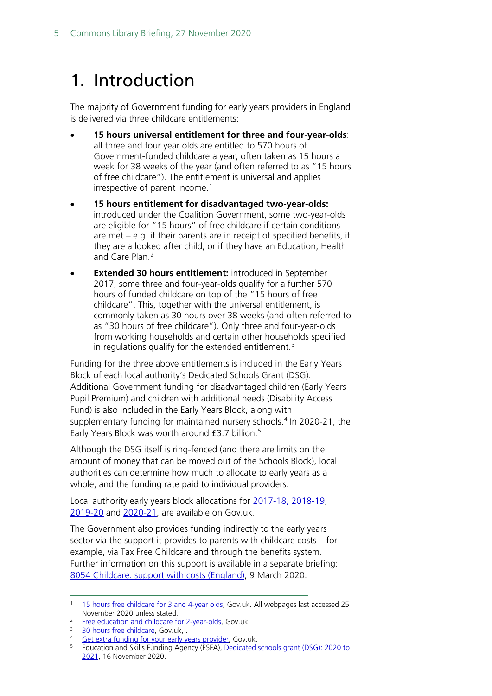## <span id="page-4-0"></span>1. Introduction

The majority of Government funding for early years providers in England is delivered via three childcare entitlements:

- **15 hours universal entitlement for three and four-year-olds**: all three and four year olds are entitled to 570 hours of Government-funded childcare a year, often taken as 15 hours a week for 38 weeks of the year (and often referred to as "15 hours of free childcare"). The entitlement is universal and applies irrespective of parent income.<sup>[1](#page-4-1)</sup>
- **15 hours entitlement for disadvantaged two-year-olds:**  introduced under the Coalition Government, some two-year-olds are eligible for "15 hours" of free childcare if certain conditions are met – e.g. if their parents are in receipt of specified benefits, if they are a looked after child, or if they have an Education, Health and Care Plan.[2](#page-4-2)
- **Extended 30 hours entitlement:** introduced in September 2017, some three and four-year-olds qualify for a further 570 hours of funded childcare on top of the "15 hours of free childcare". This, together with the universal entitlement, is commonly taken as 30 hours over 38 weeks (and often referred to as "30 hours of free childcare"). Only three and four-year-olds from working households and certain other households specified in regulations qualify for the extended entitlement.<sup>[3](#page-4-3)</sup>

Funding for the three above entitlements is included in the Early Years Block of each local authority's Dedicated Schools Grant (DSG). Additional Government funding for disadvantaged children (Early Years Pupil Premium) and children with additional needs (Disability Access Fund) is also included in the Early Years Block, along with supplementary funding for maintained nursery schools.<sup>[4](#page-4-4)</sup> In 2020-21, the Early Years Block was worth around £3.7 billion.<sup>[5](#page-4-5)</sup>

Although the DSG itself is ring-fenced (and there are limits on the amount of money that can be moved out of the Schools Block), local authorities can determine how much to allocate to early years as a whole, and the funding rate paid to individual providers.

Local authority early years block allocations for [2017-18,](https://www.gov.uk/government/publications/dedicated-schools-grant-dsg-2017-to-2018) [2018-19;](https://www.gov.uk/government/publications/dedicated-schools-grant-dsg-2018-to-2019) [2019-20](https://www.gov.uk/government/publications/dedicated-schools-grant-dsg-2019-to-2020) and [2020-21,](https://www.gov.uk/government/publications/dedicated-schools-grant-dsg-2020-to-2021) are available on Gov.uk.

The Government also provides funding indirectly to the early years sector via the support it provides to parents with childcare costs – for example, via Tax Free Childcare and through the benefits system. Further information on this support is available in a separate briefing: [8054 Childcare: support with costs \(England\),](https://commonslibrary.parliament.uk/research-briefings/cbp-8054/) 9 March 2020.

<span id="page-4-1"></span><sup>&</sup>lt;sup>1</sup> [15 hours free childcare for 3 and 4-year olds,](https://www.gov.uk/help-with-childcare-costs/free-childcare-and-education-for-2-to-4-year-olds) Gov.uk. All webpages last accessed 25 November 2020 unless stated.

<span id="page-4-2"></span>[Free education and childcare for 2-year-olds,](https://www.gov.uk/help-with-childcare-costs/free-childcare-2-year-olds) Gov.uk.

<span id="page-4-3"></span>[<sup>30</sup> hours free childcare,](https://www.gov.uk/30-hours-free-childcare) Gov.uk, .

<span id="page-4-4"></span><sup>4</sup> [Get extra funding for your early years provider,](https://www.gov.uk/get-extra-early-years-funding) Gov.uk.

<span id="page-4-5"></span><sup>&</sup>lt;sup>5</sup> Education and Skills Funding Agency (ESFA), Dedicated schools grant (DSG): 2020 to [2021,](https://www.gov.uk/government/publications/dedicated-schools-grant-dsg-2020-to-2021) 16 November 2020.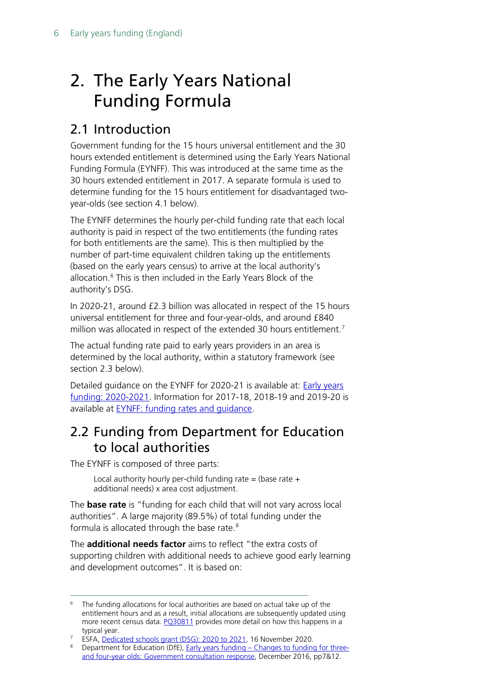## <span id="page-5-0"></span>2. The Early Years National Funding Formula

## <span id="page-5-1"></span>2.1 Introduction

Government funding for the 15 hours universal entitlement and the 30 hours extended entitlement is determined using the Early Years National Funding Formula (EYNFF). This was introduced at the same time as the 30 hours extended entitlement in 2017. A separate formula is used to determine funding for the 15 hours entitlement for disadvantaged twoyear-olds (see section 4.1 below).

The EYNFF determines the hourly per-child funding rate that each local authority is paid in respect of the two entitlements (the funding rates for both entitlements are the same). This is then multiplied by the number of part-time equivalent children taking up the entitlements (based on the early years census) to arrive at the local authority's allocation. [6](#page-5-3) This is then included in the Early Years Block of the authority's DSG.

In 2020-21, around £2.3 billion was allocated in respect of the 15 hours universal entitlement for three and four-year-olds, and around £840 million was allocated in respect of the extended 30 hours entitlement.<sup>[7](#page-5-4)</sup>

The actual funding rate paid to early years providers in an area is determined by the local authority, within a statutory framework (see section 2.3 below).

Detailed guidance on the EYNFF for 2020-21 is available at: [Early years](https://www.gov.uk/government/publications/early-years-funding-2020-2021)  [funding: 2020-2021.](https://www.gov.uk/government/publications/early-years-funding-2020-2021) Information for 2017-18, 2018-19 and 2019-20 is available at **EYNFF**: funding rates and quidance.

## <span id="page-5-2"></span>2.2 Funding from Department for Education to local authorities

The EYNFF is composed of three parts:

Local authority hourly per-child funding rate = (base rate  $+$ additional needs) x area cost adjustment.

The **base rate** is "funding for each child that will not vary across local authorities". A large majority (89.5%) of total funding under the formula is allocated through the base rate.<sup>[8](#page-5-5)</sup>

The **additional needs factor** aims to reflect "the extra costs of supporting children with additional needs to achieve good early learning and development outcomes". It is based on:

<span id="page-5-3"></span><sup>&</sup>lt;sup>6</sup> The funding allocations for local authorities are based on actual take up of the entitlement hours and as a result, initial allocations are subsequently updated using more recent census data. **PO30811** provides more detail on how this happens in a typical year.

<sup>&</sup>lt;sup>7</sup> ESFA, [Dedicated schools grant \(DSG\): 2020 to 2021,](https://www.gov.uk/government/publications/dedicated-schools-grant-dsg-2020-to-2021) 16 November 2020.

<span id="page-5-5"></span><span id="page-5-4"></span><sup>8</sup> Department for Education (DfE), Early years funding – [Changes to funding for three](https://www.gov.uk/government/uploads/system/uploads/attachment_data/file/574040/Early_years_funding_government_consultation_response.pdf)[and four-year olds: Government consultation response,](https://www.gov.uk/government/uploads/system/uploads/attachment_data/file/574040/Early_years_funding_government_consultation_response.pdf) December 2016, pp7&12.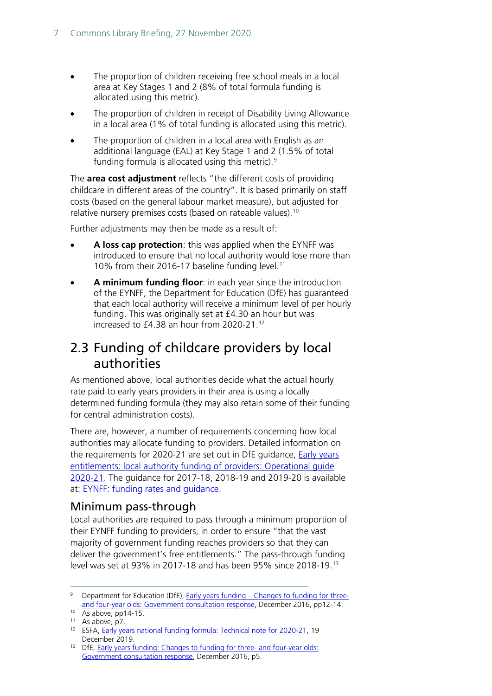- The proportion of children receiving free school meals in a local area at Key Stages 1 and 2 (8% of total formula funding is allocated using this metric).
- The proportion of children in receipt of Disability Living Allowance in a local area (1% of total funding is allocated using this metric).
- The proportion of children in a local area with English as an additional language (EAL) at Key Stage 1 and 2 (1.5% of total funding formula is allocated using this metric).[9](#page-6-2)

The **area cost adjustment** reflects "the different costs of providing childcare in different areas of the country". It is based primarily on staff costs (based on the general labour market measure), but adjusted for relative nursery premises costs (based on rateable values).<sup>[10](#page-6-3)</sup>

Further adjustments may then be made as a result of:

- **A loss cap protection**: this was applied when the EYNFF was introduced to ensure that no local authority would lose more than 10% from their 2016-17 baseline funding level. [11](#page-6-4)
- **A minimum funding floor**: in each year since the introduction of the EYNFF, the Department for Education (DfE) has guaranteed that each local authority will receive a minimum level of per hourly funding. This was originally set at £4.30 an hour but was increased to £4.38 an hour from 2020-21.[12](#page-6-5)

### <span id="page-6-0"></span>2.3 Funding of childcare providers by local authorities

As mentioned above, local authorities decide what the actual hourly rate paid to early years providers in their area is using a locally determined funding formula (they may also retain some of their funding for central administration costs).

There are, however, a number of requirements concerning how local authorities may allocate funding to providers. Detailed information on the requirements for 2020-21 are set out in DfE guidance, [Early years](https://assets.publishing.service.gov.uk/government/uploads/system/uploads/attachment_data/file/853644/Early_years_operational_guide_2020_to_2021.pdf)  [entitlements: local authority funding of providers: Operational guide](https://assets.publishing.service.gov.uk/government/uploads/system/uploads/attachment_data/file/853644/Early_years_operational_guide_2020_to_2021.pdf)  [2020-21.](https://assets.publishing.service.gov.uk/government/uploads/system/uploads/attachment_data/file/853644/Early_years_operational_guide_2020_to_2021.pdf) The guidance for 2017-18, 2018-19 and 2019-20 is available at: [EYNFF: funding rates and guidance.](https://www.gov.uk/government/publications/early-years-national-funding-formula-allocations-and-guidance)

### <span id="page-6-1"></span>Minimum pass-through

Local authorities are required to pass through a minimum proportion of their EYNFF funding to providers, in order to ensure "that the vast majority of government funding reaches providers so that they can deliver the government's free entitlements." The pass-through funding level was set at 93% in 2017-18 and has been 95% since 2018-19. [13](#page-6-6)

<span id="page-6-2"></span><sup>9</sup> Department for Education (DfE), Early years funding – [Changes to funding for three](https://www.gov.uk/government/uploads/system/uploads/attachment_data/file/574040/Early_years_funding_government_consultation_response.pdf)[and four-year olds: Government consultation response,](https://www.gov.uk/government/uploads/system/uploads/attachment_data/file/574040/Early_years_funding_government_consultation_response.pdf) December 2016, pp12-14.

<span id="page-6-3"></span><sup>&</sup>lt;sup>10</sup> As above, pp14-15.<br><sup>11</sup> As above, p7.

<span id="page-6-5"></span><span id="page-6-4"></span><sup>&</sup>lt;sup>12</sup> ESFA, Early years national funding [formula: Technical note for 2020-21,](https://www.gov.uk/government/publications/early-years-funding-2020-2021/early-years-national-funding-formula-technical-note-for-2020-21) 19 December 2019.

<span id="page-6-6"></span><sup>&</sup>lt;sup>13</sup> DfE, [Early years funding: Changes to funding for three-](https://assets.publishing.service.gov.uk/government/uploads/system/uploads/attachment_data/file/574040/Early_years_funding_government_consultation_response.pdf) and four-year olds: [Government consultation response,](https://assets.publishing.service.gov.uk/government/uploads/system/uploads/attachment_data/file/574040/Early_years_funding_government_consultation_response.pdf) December 2016, p5.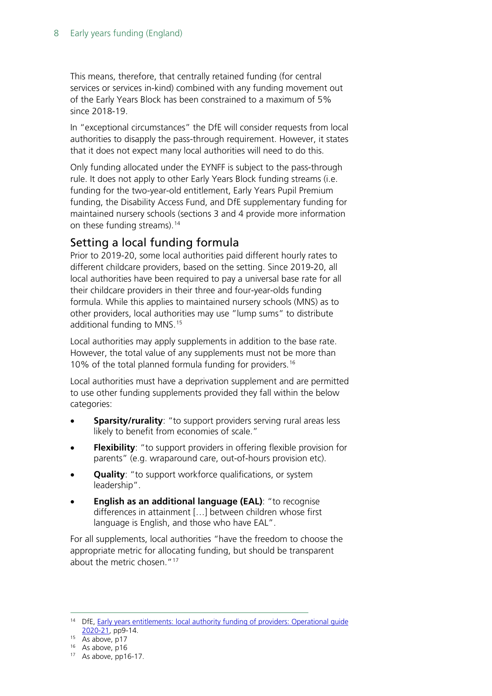This means, therefore, that centrally retained funding (for central services or services in-kind) combined with any funding movement out of the Early Years Block has been constrained to a maximum of 5% since 2018-19.

In "exceptional circumstances" the DfE will consider requests from local authorities to disapply the pass-through requirement. However, it states that it does not expect many local authorities will need to do this.

Only funding allocated under the EYNFF is subject to the pass-through rule. It does not apply to other Early Years Block funding streams (i.e. funding for the two-year-old entitlement, Early Years Pupil Premium funding, the Disability Access Fund, and DfE supplementary funding for maintained nursery schools (sections 3 and 4 provide more information on these funding streams). [14](#page-7-1)

### <span id="page-7-0"></span>Setting a local funding formula

Prior to 2019-20, some local authorities paid different hourly rates to different childcare providers, based on the setting. Since 2019-20, all local authorities have been required to pay a universal base rate for all their childcare providers in their three and four-year-olds funding formula. While this applies to maintained nursery schools (MNS) as to other providers, local authorities may use "lump sums" to distribute additional funding to MNS. [15](#page-7-2)

Local authorities may apply supplements in addition to the base rate. However, the total value of any supplements must not be more than 10% of the total planned formula funding for providers.<sup>[16](#page-7-3)</sup>

Local authorities must have a deprivation supplement and are permitted to use other funding supplements provided they fall within the below categories:

- **Sparsity/rurality:** "to support providers serving rural areas less likely to benefit from economies of scale."
- **Flexibility:** "to support providers in offering flexible provision for parents" (e.g. wraparound care, out-of-hours provision etc).
- **Quality**: "to support workforce qualifications, or system leadership".
- **English as an additional language (EAL)**: "to recognise differences in attainment […] between children whose first language is English, and those who have EAL".

For all supplements, local authorities "have the freedom to choose the appropriate metric for allocating funding, but should be transparent about the metric chosen."<sup>[17](#page-7-4)</sup>

<span id="page-7-1"></span><sup>&</sup>lt;sup>14</sup> DfE, Early years entitlements: local authority funding of providers: Operational guide [2020-21,](https://assets.publishing.service.gov.uk/government/uploads/system/uploads/attachment_data/file/853644/Early_years_operational_guide_2020_to_2021.pdf) pp9-14.

<span id="page-7-2"></span> $15$  As above, p17

<span id="page-7-3"></span> $16$  As above, p16

<span id="page-7-4"></span><sup>17</sup> As above, pp16-17.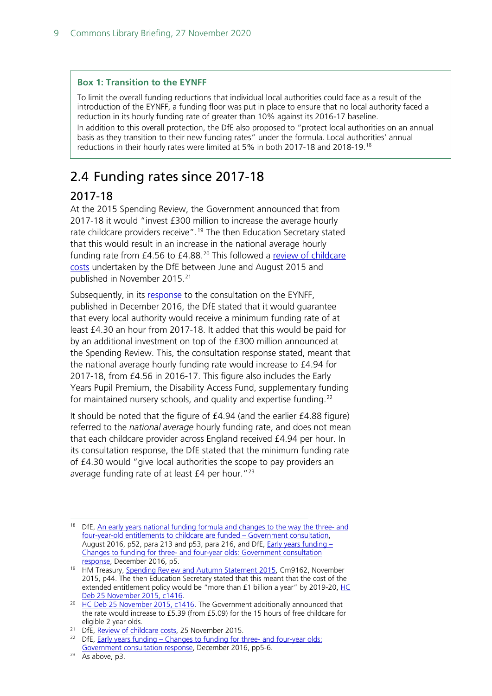#### **Box 1: Transition to the EYNFF**

To limit the overall funding reductions that individual local authorities could face as a result of the introduction of the EYNFF, a funding floor was put in place to ensure that no local authority faced a reduction in its hourly funding rate of greater than 10% against its 2016-17 baseline. In addition to this overall protection, the DfE also proposed to "protect local authorities on an annual basis as they transition to their new funding rates" under the formula. Local authorities' annual reductions in their hourly rates were limited at 5% in both 2017-18 and 2018-19. [18](#page-8-2)

## <span id="page-8-0"></span>2.4 Funding rates since 2017-18

### <span id="page-8-1"></span>2017-18

At the 2015 Spending Review, the Government announced that from 2017-18 it would "invest £300 million to increase the average hourly rate childcare providers receive".<sup>[19](#page-8-3)</sup> The then Education Secretary stated that this would result in an increase in the national average hourly funding rate from £4.56 to £4.88.<sup>[20](#page-8-4)</sup> This followed a review of childcare [costs](https://www.gov.uk/government/publications/review-of-childcare-costs) undertaken by the DfE between June and August 2015 and published in November 2015.<sup>[21](#page-8-5)</sup>

Subsequently, in its [response](https://www.gov.uk/government/uploads/system/uploads/attachment_data/file/574040/Early_years_funding_government_consultation_response.pdf) to the consultation on the EYNFF, published in December 2016, the DfE stated that it would guarantee that every local authority would receive a minimum funding rate of at least £4.30 an hour from 2017-18. It added that this would be paid for by an additional investment on top of the £300 million announced at the Spending Review. This, the consultation response stated, meant that the national average hourly funding rate would increase to £4.94 for 2017-18, from £4.56 in 2016-17. This figure also includes the Early Years Pupil Premium, the Disability Access Fund, supplementary funding for maintained nursery schools, and quality and expertise funding.<sup>[22](#page-8-6)</sup>

It should be noted that the figure of £4.94 (and the earlier £4.88 figure) referred to the *national average* hourly funding rate, and does not mean that each childcare provider across England received £4.94 per hour. In its consultation response, the DfE stated that the minimum funding rate of £4.30 would "give local authorities the scope to pay providers an average funding rate of at least  $£4$  per hour."<sup>[23](#page-8-7)</sup>

<span id="page-8-2"></span><sup>&</sup>lt;sup>18</sup> DfE, [An early years national funding formula and changes to the way the three-](https://consult.education.gov.uk/early-years-funding/eynff/supporting_documents/Consultation%20Document%20%20Early%20Years%20National%20Funding%20Formula%2011%2008%2016.pdf) and [four-year-old entitlements to childcare are funded –](https://consult.education.gov.uk/early-years-funding/eynff/supporting_documents/Consultation%20Document%20%20Early%20Years%20National%20Funding%20Formula%2011%2008%2016.pdf) Government consultation, August 2016, p52, para 213 and p53, para 216, and DfE, *Early years funding -*Changes to funding for three- [and four-year olds: Government consultation](https://www.gov.uk/government/uploads/system/uploads/attachment_data/file/574040/Early_years_funding_government_consultation_response.pdf)  [response,](https://www.gov.uk/government/uploads/system/uploads/attachment_data/file/574040/Early_years_funding_government_consultation_response.pdf) December 2016, p5.

<span id="page-8-3"></span><sup>&</sup>lt;sup>19</sup> HM Treasury, [Spending Review and Autumn Statement 2015,](https://www.gov.uk/government/publications/spending-review-and-autumn-statement-2015-documents) Cm9162, November 2015, p44. The then Education Secretary stated that this meant that the cost of the extended entitlement policy would be "more than  $£1$  billion a year" by 2019-20,  $HC$ [Deb 25 November 2015, c1416.](https://hansard.parliament.uk/Commons/2015-11-25/debates/15112551000002/ChildcareBill(Lords)#contribution-15112551000557)

<span id="page-8-4"></span><sup>&</sup>lt;sup>20</sup> [HC Deb 25 November 2015, c1416.](https://hansard.parliament.uk/Commons/2015-11-25/debates/15112551000002/ChildcareBill(Lords)#contribution-15112551000563) The Government additionally announced that the rate would increase to £5.39 (from £5.09) for the 15 hours of free childcare for eligible 2 year olds.

<span id="page-8-5"></span><sup>&</sup>lt;sup>21</sup> DfE, [Review of childcare costs,](https://www.gov.uk/government/publications/review-of-childcare-costs) 25 November 2015.

<span id="page-8-6"></span><sup>&</sup>lt;sup>22</sup> DfE, Early years funding – [Changes to funding for three-](https://www.gov.uk/government/uploads/system/uploads/attachment_data/file/574040/Early_years_funding_government_consultation_response.pdf) and four-year olds: [Government consultation response,](https://www.gov.uk/government/uploads/system/uploads/attachment_data/file/574040/Early_years_funding_government_consultation_response.pdf) December 2016, pp5-6.

<span id="page-8-7"></span> $23$  As above, p3.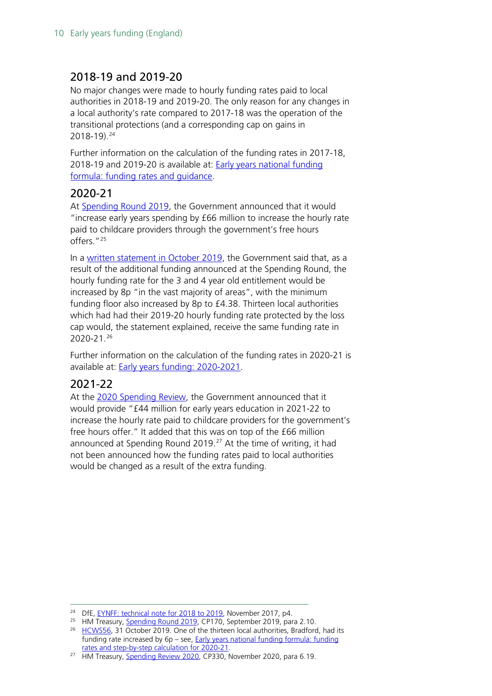### <span id="page-9-0"></span>2018-19 and 2019-20

No major changes were made to hourly funding rates paid to local authorities in 2018-19 and 2019-20. The only reason for any changes in a local authority's rate compared to 2017-18 was the operation of the transitional protections (and a corresponding cap on gains in 2018-19).[24](#page-9-3)

Further information on the calculation of the funding rates in 2017-18, 2018-19 and 2019-20 is available at: [Early years national funding](https://www.gov.uk/government/publications/early-years-national-funding-formula-allocations-and-guidance)  [formula: funding rates and guidance.](https://www.gov.uk/government/publications/early-years-national-funding-formula-allocations-and-guidance)

### <span id="page-9-1"></span>2020-21

At [Spending Round 2019,](https://assets.publishing.service.gov.uk/government/uploads/system/uploads/attachment_data/file/829177/Spending_Round_2019_web.pdf) the Government announced that it would "increase early years spending by £66 million to increase the hourly rate paid to childcare providers through the government's free hours offers."[25](#page-9-4)

In a [written statement in October 2019,](https://questions-statements.parliament.uk/written-statements/detail/2019-10-31/HCWS56) the Government said that, as a result of the additional funding announced at the Spending Round, the hourly funding rate for the 3 and 4 year old entitlement would be increased by 8p "in the vast majority of areas", with the minimum funding floor also increased by 8p to £4.38. Thirteen local authorities which had had their 2019-20 hourly funding rate protected by the loss cap would, the statement explained, receive the same funding rate in 2020-21. [26](#page-9-5)

Further information on the calculation of the funding rates in 2020-21 is available at: [Early years funding: 2020-2021.](https://www.gov.uk/government/publications/early-years-funding-2020-2021)

### <span id="page-9-2"></span>2021-22

At the [2020 Spending Review,](https://www.gov.uk/government/publications/spending-review-2020-documents) the Government announced that it would provide "£44 million for early years education in 2021-22 to increase the hourly rate paid to childcare providers for the government's free hours offer." It added that this was on top of the £66 million announced at Spending Round 2019. $^{27}$  $^{27}$  $^{27}$  At the time of writing, it had not been announced how the funding rates paid to local authorities would be changed as a result of the extra funding.

<span id="page-9-3"></span><sup>&</sup>lt;sup>24</sup> DfE, [EYNFF: technical note for 2018 to 2019,](https://assets.publishing.service.gov.uk/government/uploads/system/uploads/attachment_data/file/660067/EYNFF_1819_Technical_Note.docx) November 2017, p4.

<span id="page-9-4"></span><sup>&</sup>lt;sup>25</sup> HM Treasury, [Spending Round 2019,](https://assets.publishing.service.gov.uk/government/uploads/system/uploads/attachment_data/file/829177/Spending_Round_2019_web.pdf) CP170, September 2019, para 2.10.

<span id="page-9-5"></span><sup>&</sup>lt;sup>26</sup> [HCWS56,](https://questions-statements.parliament.uk/written-statements/detail/2019-10-31/HCWS56) 31 October 2019. One of the thirteen local authorities, Bradford, had its funding rate increased by 6p – see, [Early years national funding formula: funding](https://www.gov.uk/government/publications/early-years-funding-2020-2021)  [rates and step-by-step calculation for 2020-21.](https://www.gov.uk/government/publications/early-years-funding-2020-2021)

<span id="page-9-6"></span><sup>&</sup>lt;sup>27</sup> HM Treasury, [Spending Review 2020,](https://assets.publishing.service.gov.uk/government/uploads/system/uploads/attachment_data/file/938052/SR20_Web_Accessible.pdf) CP330, November 2020, para 6.19.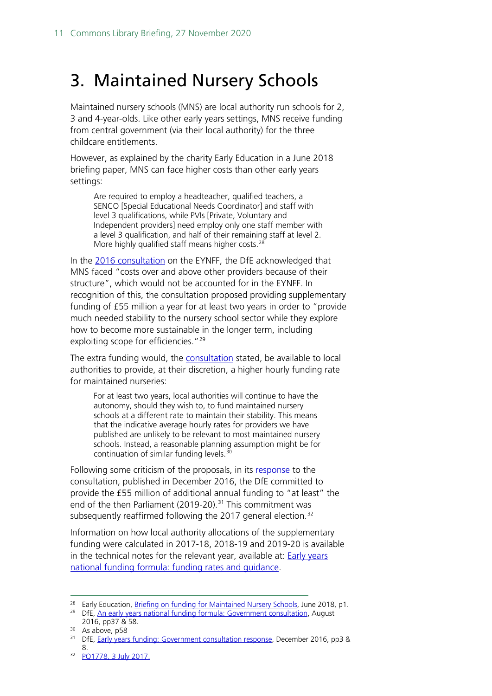## <span id="page-10-0"></span>3. Maintained Nursery Schools

Maintained nursery schools (MNS) are local authority run schools for 2, 3 and 4-year-olds. Like other early years settings, MNS receive funding from central government (via their local authority) for the three childcare entitlements.

However, as explained by the charity Early Education in a June 2018 briefing paper, MNS can face higher costs than other early years settings:

Are required to employ a headteacher, qualified teachers, a SENCO [Special Educational Needs Coordinator] and staff with level 3 qualifications, while PVIs [Private, Voluntary and Independent providers] need employ only one staff member with a level 3 qualification, and half of their remaining staff at level 2. More highly qualified staff means higher costs.<sup>[28](#page-10-1)</sup>

In the [2016 consultation](https://consult.education.gov.uk/early-years-funding/eynff/supporting_documents/Consultation%20Document%20%20Early%20Years%20National%20Funding%20Formula%2011%2008%2016.pdf) on the EYNFF, the DfE acknowledged that MNS faced "costs over and above other providers because of their structure", which would not be accounted for in the EYNFF. In recognition of this, the consultation proposed providing supplementary funding of £55 million a year for at least two years in order to "provide much needed stability to the nursery school sector while they explore how to become more sustainable in the longer term, including exploiting scope for efficiencies."<sup>[29](#page-10-2)</sup>

The extra funding would, the [consultation](https://consult.education.gov.uk/early-years-funding/eynff/supporting_documents/Consultation%20Document%20%20Early%20Years%20National%20Funding%20Formula%2011%2008%2016.pdf) stated, be available to local authorities to provide, at their discretion, a higher hourly funding rate for maintained nurseries:

For at least two years, local authorities will continue to have the autonomy, should they wish to, to fund maintained nursery schools at a different rate to maintain their stability. This means that the indicative average hourly rates for providers we have published are unlikely to be relevant to most maintained nursery schools. Instead, a reasonable planning assumption might be for continuation of similar funding levels.[30](#page-10-3)

Following some criticism of the proposals, in its [response](https://www.gov.uk/government/uploads/system/uploads/attachment_data/file/574040/Early_years_funding_government_consultation_response.pdf) to the consultation, published in December 2016, the DfE committed to provide the £55 million of additional annual funding to "at least" the end of the then Parliament (2019-20).<sup>[31](#page-10-4)</sup> This commitment was subsequently reaffirmed following the 2017 general election.<sup>[32](#page-10-5)</sup>

Information on how local authority allocations of the supplementary funding were calculated in 2017-18, 2018-19 and 2019-20 is available in the technical notes for the relevant year, available at: **Early years** [national funding formula: funding rates and guidance.](https://www.gov.uk/government/publications/early-years-national-funding-formula-allocations-and-guidance)

<sup>&</sup>lt;sup>28</sup> Early Education, [Briefing on funding for Maintained Nursery Schools,](https://www.early-education.org.uk/sites/default/files/Briefing%20on%20funding%20for%20Maintained%20Nursery%20Schools%20June%202018.pdf) June 2018, p1.

<span id="page-10-2"></span><span id="page-10-1"></span><sup>&</sup>lt;sup>29</sup> DfE, [An early years national funding formula: Government consultation,](https://consult.education.gov.uk/early-years-funding/eynff/supporting_documents/Consultation%20Document%20%20Early%20Years%20National%20Funding%20Formula%2011%2008%2016.pdf) August 2016, pp37 & 58.

<span id="page-10-3"></span><sup>&</sup>lt;sup>30</sup> As above, p58

<span id="page-10-4"></span><sup>&</sup>lt;sup>31</sup> DfE, [Early years funding: Government consultation response,](https://assets.publishing.service.gov.uk/government/uploads/system/uploads/attachment_data/file/574040/Early_years_funding_government_consultation_response.pdf) December 2016, pp3 & 8.

<span id="page-10-5"></span><sup>32</sup> PQ1778, [3 July 2017.](http://www.parliament.uk/written-questions-answers-statements/written-question/commons/2017-06-28/1778)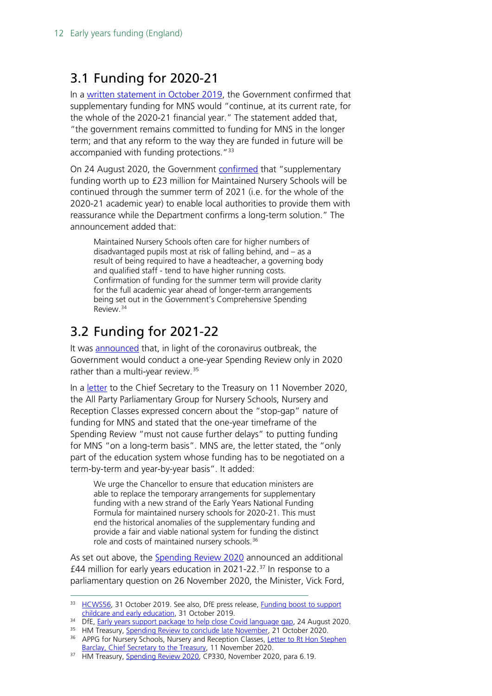## <span id="page-11-0"></span>3.1 Funding for 2020-21

In a [written statement in October 2019,](https://questions-statements.parliament.uk/written-statements/detail/2019-10-31/HCWS56) the Government confirmed that supplementary funding for MNS would "continue, at its current rate, for the whole of the 2020-21 financial year." The statement added that, "the government remains committed to funding for MNS in the longer term; and that any reform to the way they are funded in future will be accompanied with funding protections."<sup>[33](#page-11-2)</sup>

On 24 August 2020, the Government [confirmed](https://www.gov.uk/government/news/early-years-support-package-to-help-close-covid-language-gap) that "supplementary funding worth up to £23 million for Maintained Nursery Schools will be continued through the summer term of 2021 (i.e. for the whole of the 2020-21 academic year) to enable local authorities to provide them with reassurance while the Department confirms a long-term solution." The announcement added that:

Maintained Nursery Schools often care for higher numbers of disadvantaged pupils most at risk of falling behind, and – as a result of being required to have a headteacher, a governing body and qualified staff - tend to have higher running costs. Confirmation of funding for the summer term will provide clarity for the full academic year ahead of longer-term arrangements being set out in the Government's Comprehensive Spending Review. [34](#page-11-3)

## <span id="page-11-1"></span>3.2 Funding for 2021-22

It was [announced](https://www.gov.uk/government/news/spending-review-to-conclude-late-november) that, in light of the coronavirus outbreak, the Government would conduct a one-year Spending Review only in 2020 rather than a multi-year review.<sup>[35](#page-11-4)</sup>

In a [letter](https://www.early-education.org.uk/sites/default/files/Letter%20to%20HMT%20implications%20of%201%20yr%20spending%20review%20on%20MNS%20sustainability.pdf) to the Chief Secretary to the Treasury on 11 November 2020, the All Party Parliamentary Group for Nursery Schools, Nursery and Reception Classes expressed concern about the "stop-gap" nature of funding for MNS and stated that the one-year timeframe of the Spending Review "must not cause further delays" to putting funding for MNS "on a long-term basis". MNS are, the letter stated, the "only part of the education system whose funding has to be negotiated on a term-by-term and year-by-year basis". It added:

We urge the Chancellor to ensure that education ministers are able to replace the temporary arrangements for supplementary funding with a new strand of the Early Years National Funding Formula for maintained nursery schools for 2020-21. This must end the historical anomalies of the supplementary funding and provide a fair and viable national system for funding the distinct role and costs of maintained nursery schools.[36](#page-11-5)

As set out above, the [Spending Review 2020](https://assets.publishing.service.gov.uk/government/uploads/system/uploads/attachment_data/file/938052/SR20_Web_Accessible.pdf) announced an additional £44 million for early years education in 2021-22. $37$  In response to a parliamentary question on 26 November 2020, the Minister, Vick Ford,

<span id="page-11-2"></span><sup>33</sup> [HCWS56,](https://questions-statements.parliament.uk/written-statements/detail/2019-10-31/HCWS56) 31 October 2019. See also, DfE press release, Funding boost to support [childcare and early education,](https://www.gov.uk/government/news/funding-boost-to-support-childcare-and-early-education) 31 October 2019.

<span id="page-11-3"></span><sup>&</sup>lt;sup>34</sup> DfE, [Early years support package to help close Covid language gap,](https://www.gov.uk/government/news/early-years-support-package-to-help-close-covid-language-gap) 24 August 2020.

<span id="page-11-4"></span><sup>&</sup>lt;sup>35</sup> HM Treasury, [Spending Review to conclude late November,](https://www.gov.uk/government/news/spending-review-to-conclude-late-november) 21 October 2020.

<span id="page-11-5"></span><sup>&</sup>lt;sup>36</sup> APPG for Nursery Schools, Nursery and Reception Classes, Letter to Rt Hon Stephen [Barclay, Chief Secretary to the Treasury,](https://www.early-education.org.uk/sites/default/files/Letter%20to%20HMT%20implications%20of%201%20yr%20spending%20review%20on%20MNS%20sustainability.pdf) 11 November 2020.

<span id="page-11-6"></span><sup>&</sup>lt;sup>37</sup> HM Treasury, [Spending Review 2020,](https://assets.publishing.service.gov.uk/government/uploads/system/uploads/attachment_data/file/938052/SR20_Web_Accessible.pdf) CP330, November 2020, para 6.19.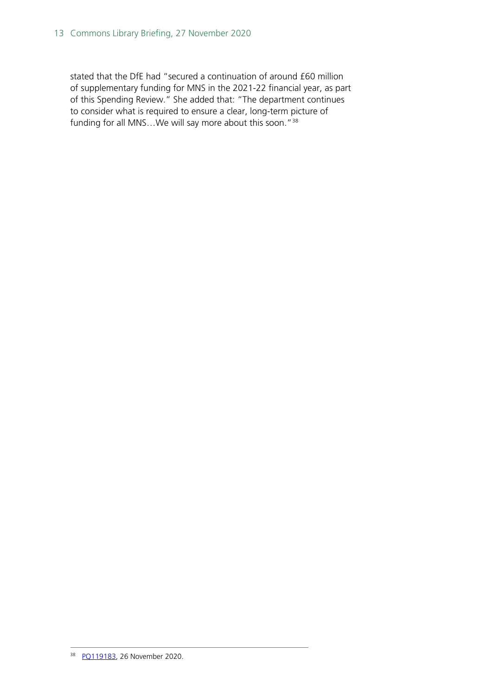<span id="page-12-0"></span>stated that the DfE had "secured a continuation of around £60 million of supplementary funding for MNS in the 2021-22 financial year, as part of this Spending Review." She added that: "The department continues to consider what is required to ensure a clear, long-term picture of funding for all MNS...We will say more about this soon."<sup>[38](#page-12-0)</sup>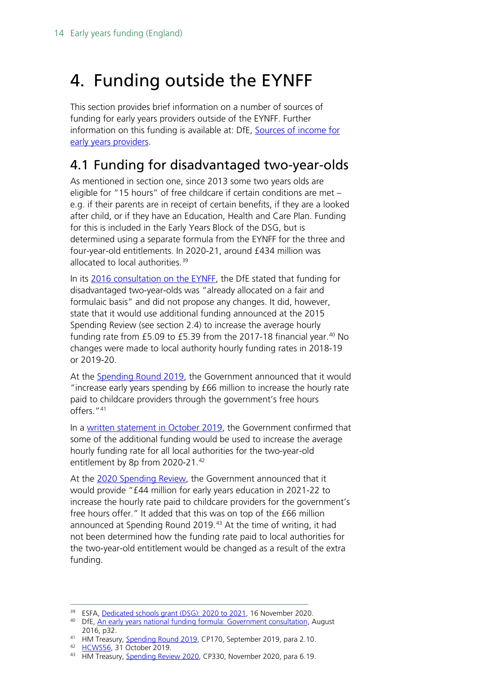## <span id="page-13-0"></span>4. Funding outside the EYNFF

This section provides brief information on a number of sources of funding for early years providers outside of the EYNFF. Further information on this funding is available at: DfE, Sources of income for [early years providers.](https://www.gov.uk/government/publications/early-years-business-sustainability-guides-for-providers/extra-sources-of-income-for-early-years-providers)

### <span id="page-13-1"></span>4.1 Funding for disadvantaged two-year-olds

As mentioned in section one, since 2013 some two years olds are eligible for "15 hours" of free childcare if certain conditions are met – e.g. if their parents are in receipt of certain benefits, if they are a looked after child, or if they have an Education, Health and Care Plan. Funding for this is included in the Early Years Block of the DSG, but is determined using a separate formula from the EYNFF for the three and four-year-old entitlements. In 2020-21, around £434 million was allocated to local authorities. [39](#page-13-2)

In its [2016 consultation on the EYNFF,](https://consult.education.gov.uk/early-years-funding/eynff/supporting_documents/Consultation%20Document%20%20Early%20Years%20National%20Funding%20Formula%2011%2008%2016.pdf) the DfE stated that funding for disadvantaged two-year-olds was "already allocated on a fair and formulaic basis" and did not propose any changes. It did, however, state that it would use additional funding announced at the 2015 Spending Review (see section 2.4) to increase the average hourly funding rate from £5.09 to £5.39 from the 2017-18 financial year. $40$  No changes were made to local authority hourly funding rates in 2018-19 or 2019-20.

At the [Spending Round 2019,](https://assets.publishing.service.gov.uk/government/uploads/system/uploads/attachment_data/file/829177/Spending_Round_2019_web.pdf) the Government announced that it would "increase early years spending by £66 million to increase the hourly rate paid to childcare providers through the government's free hours offers."[41](#page-13-4)

In a [written statement in October 2019,](https://questions-statements.parliament.uk/written-statements/detail/2019-10-31/HCWS56) the Government confirmed that some of the additional funding would be used to increase the average hourly funding rate for all local authorities for the two-year-old entitlement by 8p from 2020-21.[42](#page-13-5)

At the [2020 Spending Review,](https://www.gov.uk/government/publications/spending-review-2020-documents) the Government announced that it would provide "£44 million for early years education in 2021-22 to increase the hourly rate paid to childcare providers for the government's free hours offer." It added that this was on top of the £66 million announced at Spending Round 2019.<sup>[43](#page-13-6)</sup> At the time of writing, it had not been determined how the funding rate paid to local authorities for the two-year-old entitlement would be changed as a result of the extra funding.

<sup>&</sup>lt;sup>39</sup> ESFA, [Dedicated schools grant \(DSG\): 2020 to 2021,](https://www.gov.uk/government/publications/dedicated-schools-grant-dsg-2020-to-2021) 16 November 2020.

<span id="page-13-3"></span><span id="page-13-2"></span><sup>&</sup>lt;sup>40</sup> DfE, [An early years national funding formula: Government consultation,](https://consult.education.gov.uk/early-years-funding/eynff/supporting_documents/Consultation%20Document%20%20Early%20Years%20National%20Funding%20Formula%2011%2008%2016.pdf) August 2016, p32.

<span id="page-13-4"></span><sup>41</sup> HM Treasury, [Spending Round 2019,](https://assets.publishing.service.gov.uk/government/uploads/system/uploads/attachment_data/file/829177/Spending_Round_2019_web.pdf) CP170, September 2019, para 2.10.

<span id="page-13-5"></span><sup>42</sup> [HCWS56,](https://questions-statements.parliament.uk/written-statements/detail/2019-10-31/HCWS56) 31 October 2019.

<span id="page-13-6"></span><sup>43</sup> HM Treasury, [Spending Review 2020,](https://assets.publishing.service.gov.uk/government/uploads/system/uploads/attachment_data/file/938052/SR20_Web_Accessible.pdf) CP330, November 2020, para 6.19.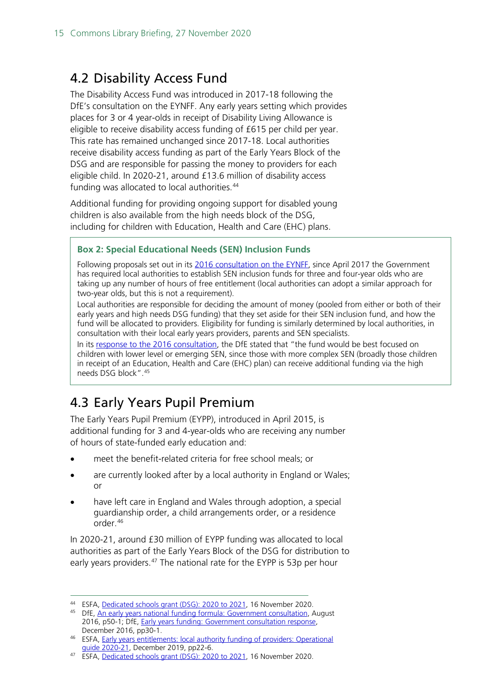## <span id="page-14-0"></span>4.2 Disability Access Fund

The Disability Access Fund was introduced in 2017-18 following the DfE's consultation on the EYNFF. Any early years setting which provides places for 3 or 4 year-olds in receipt of Disability Living Allowance is eligible to receive disability access funding of £615 per child per year. This rate has remained unchanged since 2017-18. Local authorities receive disability access funding as part of the Early Years Block of the DSG and are responsible for passing the money to providers for each eligible child. In 2020-21, around £13.6 million of disability access funding was allocated to local authorities.<sup>[44](#page-14-2)</sup>

Additional funding for providing ongoing support for disabled young children is also available from the high needs block of the DSG, including for children with Education, Health and Care (EHC) plans.

#### **Box 2: Special Educational Needs (SEN) Inclusion Funds**

Following proposals set out in its [2016 consultation on the EYNFF,](https://consult.education.gov.uk/early-years-funding/eynff/supporting_documents/Consultation%20Document%20%20Early%20Years%20National%20Funding%20Formula%2011%2008%2016.pdf) since April 2017 the Government has required local authorities to establish SEN inclusion funds for three and four-year olds who are taking up any number of hours of free entitlement (local authorities can adopt a similar approach for two-year olds, but this is not a requirement).

Local authorities are responsible for deciding the amount of money (pooled from either or both of their early years and high needs DSG funding) that they set aside for their SEN inclusion fund, and how the fund will be allocated to providers. Eligibility for funding is similarly determined by local authorities, in consultation with their local early years providers, parents and SEN specialists.

In its [response to the 2016 consultation,](https://assets.publishing.service.gov.uk/government/uploads/system/uploads/attachment_data/file/574040/Early_years_funding_government_consultation_response.pdf) the DfE stated that "the fund would be best focused on children with lower level or emerging SEN, since those with more complex SEN (broadly those children in receipt of an Education, Health and Care (EHC) plan) can receive additional funding via the high needs DSG block".[45](#page-14-3)

## <span id="page-14-1"></span>4.3 Early Years Pupil Premium

The Early Years Pupil Premium (EYPP), introduced in April 2015, is additional funding for 3 and 4-year-olds who are receiving any number of hours of state-funded early education and:

- meet the benefit-related criteria for free school meals; or
- are currently looked after by a local authority in England or Wales; or
- have left care in England and Wales through adoption, a special guardianship order, a child arrangements order, or a residence  $\overline{O}$ rder. [46](#page-14-4)

In 2020-21, around £30 million of EYPP funding was allocated to local authorities as part of the Early Years Block of the DSG for distribution to early years providers.<sup>[47](#page-14-5)</sup> The national rate for the EYPP is 53p per hour

<span id="page-14-2"></span><sup>44</sup> ESFA, [Dedicated schools grant \(DSG\): 2020 to 2021,](https://www.gov.uk/government/publications/dedicated-schools-grant-dsg-2020-to-2021) 16 November 2020.

<span id="page-14-3"></span><sup>45</sup> DfE, [An early years national funding formula: Government consultation,](https://consult.education.gov.uk/early-years-funding/eynff/supporting_documents/Consultation%20Document%20%20Early%20Years%20National%20Funding%20Formula%2011%2008%2016.pdf) August 2016, p50-1; DfE, [Early years funding: Government consultation response,](https://assets.publishing.service.gov.uk/government/uploads/system/uploads/attachment_data/file/574040/Early_years_funding_government_consultation_response.pdf)  December 2016, pp30-1.

<span id="page-14-4"></span><sup>46</sup> ESFA, [Early years entitlements: local authority funding of providers: Operational](https://assets.publishing.service.gov.uk/government/uploads/system/uploads/attachment_data/file/853644/Early_years_operational_guide_2020_to_2021.pdf)  [guide 2020-21,](https://assets.publishing.service.gov.uk/government/uploads/system/uploads/attachment_data/file/853644/Early_years_operational_guide_2020_to_2021.pdf) December 2019, pp22-6.

<span id="page-14-5"></span><sup>47</sup> ESFA, [Dedicated schools grant \(DSG\): 2020 to 2021,](https://www.gov.uk/government/publications/dedicated-schools-grant-dsg-2020-to-2021) 16 November 2020.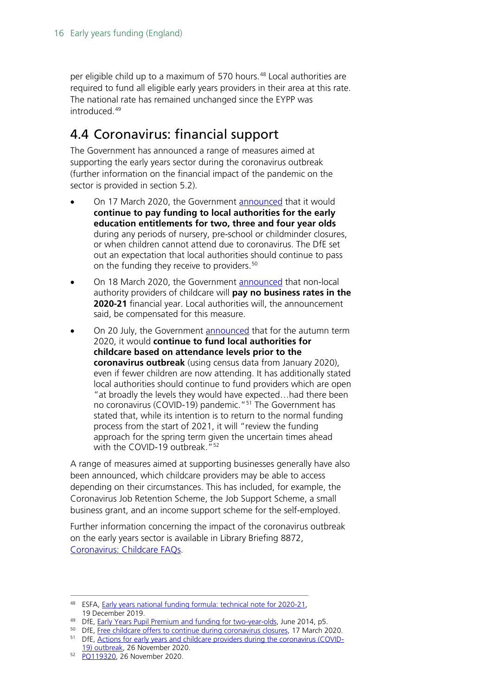per eligible child up to a maximum of 570 hours.<sup>[48](#page-15-1)</sup> Local authorities are required to fund all eligible early years providers in their area at this rate. The national rate has remained unchanged since the EYPP was introduced<sup>[49](#page-15-2)</sup>

### <span id="page-15-0"></span>4.4 Coronavirus: financial support

The Government has announced a range of measures aimed at supporting the early years sector during the coronavirus outbreak (further information on the financial impact of the pandemic on the sector is provided in section 5.2).

- On 17 March 2020, the Government **announced** that it would **continue to pay funding to local authorities for the early education entitlements for two, three and four year olds** during any periods of nursery, pre-school or childminder closures, or when children cannot attend due to coronavirus. The DfE set out an expectation that local authorities should continue to pass on the funding they receive to providers.<sup>[50](#page-15-3)</sup>
- On 18 March 2020, the Government [announced](https://www.gov.uk/government/news/schools-colleges-and-early-years-settings-to-close) that non-local authority providers of childcare will **pay no business rates in the 2020-21** financial year. Local authorities will, the announcement said, be compensated for this measure.
- On 20 July, the Government [announced](https://www.gov.uk/government/publications/use-of-free-early-education-entitlements-funding-during-the-coronavirus-outbreak/use-of-free-early-education-entitlements-funding-during-coronavirus-covid-19#section-one) that for the autumn term 2020, it would **continue to fund local authorities for childcare based on attendance levels prior to the coronavirus outbreak** (using census data from January 2020), even if fewer children are now attending. It has additionally stated local authorities should continue to fund providers which are open "at broadly the levels they would have expected…had there been no coronavirus (COVID-19) pandemic. "<sup>[51](#page-15-4)</sup> The Government has stated that, while its intention is to return to the normal funding process from the start of 2021, it will "review the funding approach for the spring term given the uncertain times ahead with the COVID-19 outbreak."<sup>[52](#page-15-5)</sup>

A range of measures aimed at supporting businesses generally have also been announced, which childcare providers may be able to access depending on their circumstances. This has included, for example, the Coronavirus Job Retention Scheme, the Job Support Scheme, a small business grant, and an income support scheme for the self-employed.

Further information concerning the impact of the coronavirus outbreak on the early years sector is available in Library Briefing 8872, [Coronavirus: Childcare FAQs.](https://commonslibrary.parliament.uk/research-briefings/cbp-8872/)

- [19\) outbreak,](https://www.gov.uk/government/publications/coronavirus-covid-19-early-years-and-childcare-closures/coronavirus-covid-19-early-years-and-childcare-closures#funding) 26 November 2020.
- <span id="page-15-5"></span><sup>52</sup> [PQ119320,](https://questions-statements.parliament.uk/written-questions/detail/2020-11-23/119320) 26 November 2020.

<span id="page-15-1"></span><sup>48</sup> ESFA, [Early years national funding formula: technical note for 2020-21,](https://www.gov.uk/government/publications/early-years-funding-2020-2021/early-years-national-funding-formula-technical-note-for-2020-21) 19 December 2019.

<span id="page-15-2"></span><sup>49</sup> DfE, [Early Years Pupil Premium and funding for two-year-olds,](https://assets.publishing.service.gov.uk/government/uploads/system/uploads/attachment_data/file/323495/EY_Funding_ConDoc_-Branded_final_with_foreword.pdf) June 2014, p5.

<span id="page-15-4"></span><span id="page-15-3"></span><sup>&</sup>lt;sup>50</sup> DfE, [Free childcare offers to continue during coronavirus closures,](https://www.gov.uk/government/news/free-childcare-offers-to-continue-during-coronavirus-closures?utm_source=81af3210-cd22-496a-9f51-1c72514c14e8&utm_medium=email&utm_campaign=govuk-notifications&utm_content=immediate) 17 March 2020. <sup>51</sup> DfE, [Actions for early years and childcare providers during the coronavirus \(COVID-](https://www.gov.uk/government/publications/coronavirus-covid-19-early-years-and-childcare-closures/coronavirus-covid-19-early-years-and-childcare-closures#funding)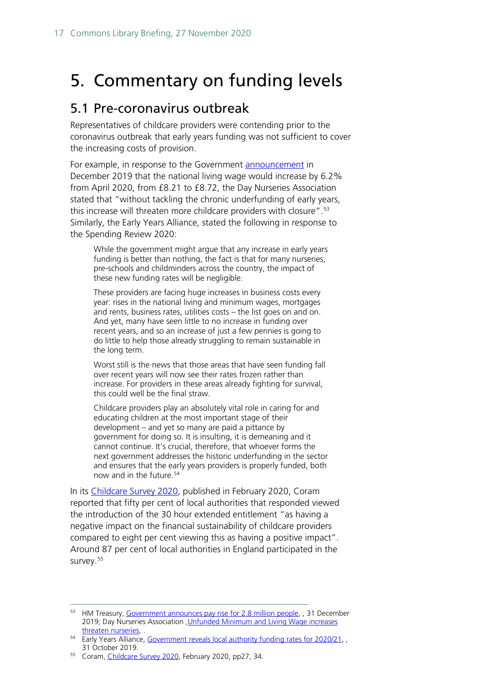## <span id="page-16-0"></span>5. Commentary on funding levels

### <span id="page-16-1"></span>5.1 Pre-coronavirus outbreak

Representatives of childcare providers were contending prior to the coronavirus outbreak that early years funding was not sufficient to cover the increasing costs of provision.

For example, in response to the Government [announcement](https://www.gov.uk/government/news/government-announces-pay-rise-for-28-million-people) in December 2019 that the national living wage would increase by 6.2% from April 2020, from £8.21 to £8.72, the Day Nurseries Association stated that "without tackling the chronic underfunding of early years, this increase will threaten more childcare providers with closure".<sup>[53](#page-16-2)</sup> Similarly, the Early Years Alliance, stated the following in response to the Spending Review 2020:

While the government might argue that any increase in early years funding is better than nothing, the fact is that for many nurseries, pre-schools and childminders across the country, the impact of these new funding rates will be negligible.

These providers are facing huge increases in business costs every year: rises in the national living and minimum wages, mortgages and rents, business rates, utilities costs – the list goes on and on. And yet, many have seen little to no increase in funding over recent years, and so an increase of just a few pennies is going to do little to help those already struggling to remain sustainable in the long term.

Worst still is the news that those areas that have seen funding fall over recent years will now see their rates frozen rather than increase. For providers in these areas already fighting for survival, this could well be the final straw.

Childcare providers play an absolutely vital role in caring for and educating children at the most important stage of their development – and yet so many are paid a pittance by government for doing so. It is insulting, it is demeaning and it cannot continue. It's crucial, therefore, that whoever forms the next government addresses the historic underfunding in the sector and ensures that the early years providers is properly funded, both now and in the future.[54](#page-16-3)

In its [Childcare Survey 2020,](https://www.familyandchildcaretrust.org/sites/default/files/Resource%20Library/Coram%20Childcare%20Survey%202020_240220.pdf) published in February 2020, Coram reported that fifty per cent of local authorities that responded viewed the introduction of the 30 hour extended entitlement "as having a negative impact on the financial sustainability of childcare providers compared to eight per cent viewing this as having a positive impact". Around 87 per cent of local authorities in England participated in the survey.<sup>[55](#page-16-4)</sup>

<span id="page-16-2"></span><sup>53</sup> HM Treasury, [Government announces pay rise for 2.8 million people,](https://www.gov.uk/government/news/government-announces-pay-rise-for-28-million-people) , 31 December 2019; Day Nurseries Association [,Unfunded Minimum and Living Wage increases](https://www.ndna.org.uk/NDNA/News/Latest_news/2020/Unfunded_Minimum_and_Living_Wage_increases_threaten_nurseries.aspx)  [threaten nurseries,](https://www.ndna.org.uk/NDNA/News/Latest_news/2020/Unfunded_Minimum_and_Living_Wage_increases_threaten_nurseries.aspx) .

<span id="page-16-3"></span><sup>&</sup>lt;sup>54</sup> Early Years Alliance, [Government reveals local authority funding rates for 2020/21,](https://www.eyalliance.org.uk/news/2019/10/government-reveals-local-authority-funding-rates-202021) 31 October 2019.

<span id="page-16-4"></span><sup>&</sup>lt;sup>55</sup> Coram, [Childcare Survey 2020,](https://www.familyandchildcaretrust.org/sites/default/files/Resource%20Library/Coram%20Childcare%20Survey%202020_240220.pdf) February 2020, pp27, 34.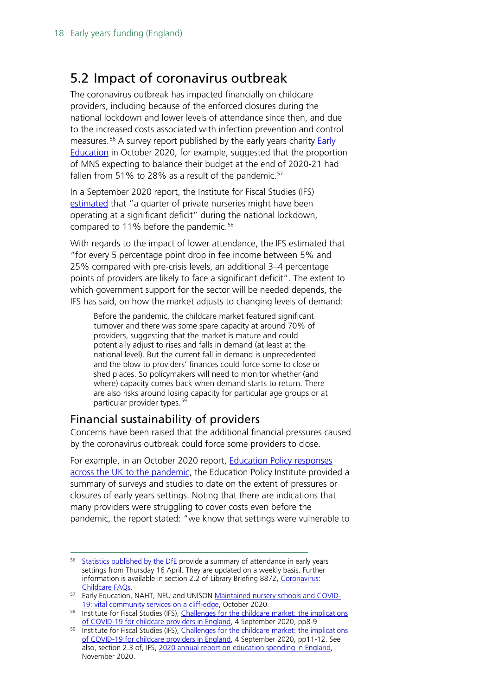### <span id="page-17-0"></span>5.2 Impact of coronavirus outbreak

The coronavirus outbreak has impacted financially on childcare providers, including because of the enforced closures during the national lockdown and lower levels of attendance since then, and due to the increased costs associated with infection prevention and control measures.<sup>[56](#page-17-2)</sup> A survey report published by the early years charity **Early** [Education](https://www.early-education.org.uk/sites/default/files/The%20impact%20of%20COVID-19%20on%20MNS.pdf) in October 2020, for example, suggested that the proportion of MNS expecting to balance their budget at the end of 2020-21 had fallen from 51% to 28% as a result of the pandemic. $57$ 

In a September 2020 report, the Institute for Fiscal Studies (IFS) [estimated](https://www.ifs.org.uk/publications/14990) that "a quarter of private nurseries might have been operating at a significant deficit" during the national lockdown, compared to 11% before the pandemic.<sup>[58](#page-17-4)</sup>

With regards to the impact of lower attendance, the IFS estimated that "for every 5 percentage point drop in fee income between 5% and 25% compared with pre-crisis levels, an additional 3–4 percentage points of providers are likely to face a significant deficit". The extent to which government support for the sector will be needed depends, the IFS has said, on how the market adjusts to changing levels of demand:

Before the pandemic, the childcare market featured significant turnover and there was some spare capacity at around 70% of providers, suggesting that the market is mature and could potentially adjust to rises and falls in demand (at least at the national level). But the current fall in demand is unprecedented and the blow to providers' finances could force some to close or shed places. So policymakers will need to monitor whether (and where) capacity comes back when demand starts to return. There are also risks around losing capacity for particular age groups or at particular provider types.<sup>[59](#page-17-5)</sup>

### <span id="page-17-1"></span>Financial sustainability of providers

Concerns have been raised that the additional financial pressures caused by the coronavirus outbreak could force some providers to close.

For example, in an October 2020 report, [Education Policy responses](https://epi.org.uk/wp-content/uploads/2020/10/UK-Education-Policy-Response_Pandemic_EPI.pdf?utm_source=HOC+Library+-+Current+awareness+bulletins&utm_campaign=ed5fdbca85-Current_Awareness_Social_Policy_I_12-10-2020&utm_medium=email&utm_term=0_f325cdbfdc-ed5fdbca85-103730665&mc_cid=ed5fdbca85&mc_eid=799d91902d)  [across the UK to the pandemic,](https://epi.org.uk/wp-content/uploads/2020/10/UK-Education-Policy-Response_Pandemic_EPI.pdf?utm_source=HOC+Library+-+Current+awareness+bulletins&utm_campaign=ed5fdbca85-Current_Awareness_Social_Policy_I_12-10-2020&utm_medium=email&utm_term=0_f325cdbfdc-ed5fdbca85-103730665&mc_cid=ed5fdbca85&mc_eid=799d91902d) the Education Policy Institute provided a summary of surveys and studies to date on the extent of pressures or closures of early years settings. Noting that there are indications that many providers were struggling to cover costs even before the pandemic, the report stated: "we know that settings were vulnerable to

<span id="page-17-2"></span><sup>&</sup>lt;sup>56</sup> [Statistics published by the DfE](https://explore-education-statistics.service.gov.uk/find-statistics/attendance-in-education-and-early-years-settings-during-the-coronavirus-covid-19-outbreak) provide a summary of attendance in early years settings from Thursday 16 April. They are updated on a weekly basis. Further information is available in section 2.2 of Library Briefing 8872, Coronavirus: [Childcare FAQs.](https://commonslibrary.parliament.uk/research-briefings/cbp-8872/)

<span id="page-17-3"></span><sup>57</sup> Early Education, NAHT, NEU and UNISON [Maintained nursery schools and COVID-](https://www.early-education.org.uk/sites/default/files/The%20impact%20of%20COVID-19%20on%20MNS.pdf)[19: vital community services on a cliff-edge,](https://www.early-education.org.uk/sites/default/files/The%20impact%20of%20COVID-19%20on%20MNS.pdf) October 2020.

<span id="page-17-4"></span><sup>58</sup> Institute for Fiscal Studies (IFS), Challenges for the childcare market: the implications [of COVID-19 for childcare providers in England,](https://www.ifs.org.uk/publications/14990) 4 September 2020, pp8-9

<span id="page-17-5"></span><sup>59</sup> Institute for Fiscal Studies (IFS), Challenges for the childcare market: the implications [of COVID-19 for childcare providers in England,](https://www.ifs.org.uk/publications/14990) 4 September 2020, pp11-12. See also, section 2.3 of, IFS, [2020 annual report on education spending in England,](https://www.ifs.org.uk/publications/15150?utm_source=HOC+Library+-+Current+awareness+bulletins&utm_campaign=4274cca2d6-Current_Awareness_Social_Policy_I_03-11-2020&utm_medium=email&utm_term=0_f325cdbfdc-4274cca2d6-103730665&mc_cid=4274cca2d6&mc_eid=799d91902d)  November 2020.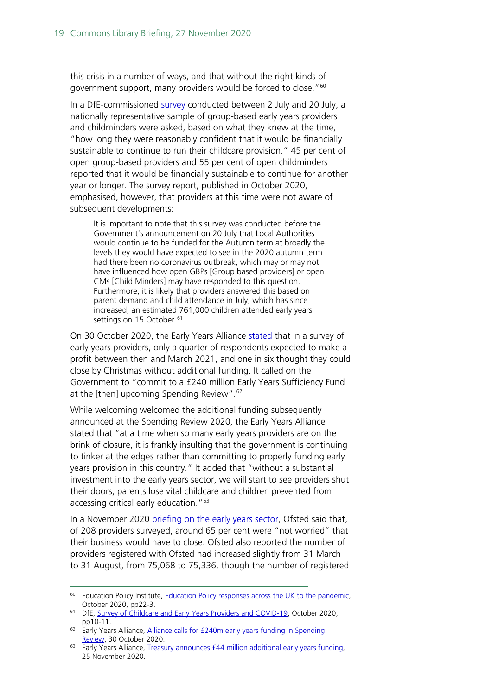this crisis in a number of ways, and that without the right kinds of government support, many providers would be forced to close."<sup>[60](#page-18-0)</sup>

In a DfE-commissioned [survey](https://assets.publishing.service.gov.uk/government/uploads/system/uploads/attachment_data/file/929329/SCEYP_COVID-19_main_report.pdf) conducted between 2 July and 20 July, a nationally representative sample of group-based early years providers and childminders were asked, based on what they knew at the time, "how long they were reasonably confident that it would be financially sustainable to continue to run their childcare provision." 45 per cent of open group-based providers and 55 per cent of open childminders reported that it would be financially sustainable to continue for another year or longer. The survey report, published in October 2020, emphasised, however, that providers at this time were not aware of subsequent developments:

It is important to note that this survey was conducted before the Government's announcement on 20 July that Local Authorities would continue to be funded for the Autumn term at broadly the levels they would have expected to see in the 2020 autumn term had there been no coronavirus outbreak, which may or may not have influenced how open GBPs [Group based providers] or open CMs [Child Minders] may have responded to this question. Furthermore, it is likely that providers answered this based on parent demand and child attendance in July, which has since increased; an estimated 761,000 children attended early years settings on 15 October.<sup>[61](#page-18-1)</sup>

On 30 October 2020, the Early Years Alliance [stated](https://www.eyalliance.org.uk/news/2020/10/alliance-calls-%C2%A3240m-early-years-funding-spending-review) that in a survey of early years providers, only a quarter of respondents expected to make a profit between then and March 2021, and one in six thought they could close by Christmas without additional funding. It called on the Government to "commit to a £240 million Early Years Sufficiency Fund at the [then] upcoming Spending Review".<sup>[62](#page-18-2)</sup>

While welcoming welcomed the additional funding subsequently announced at the Spending Review 2020, the Early Years Alliance stated that "at a time when so many early years providers are on the brink of closure, it is frankly insulting that the government is continuing to tinker at the edges rather than committing to properly funding early years provision in this country." It added that "without a substantial investment into the early years sector, we will start to see providers shut their doors, parents lose vital childcare and children prevented from accessing critical early education."[63](#page-18-3)

In a November 2020 [briefing on the early years sector,](https://www.gov.uk/government/publications/covid-19-series-briefing-on-early-years-october-2020) Ofsted said that, of 208 providers surveyed, around 65 per cent were "not worried" that their business would have to close. Ofsted also reported the number of providers registered with Ofsted had increased slightly from 31 March to 31 August, from 75,068 to 75,336, though the number of registered

<span id="page-18-0"></span><sup>&</sup>lt;sup>60</sup> Education Policy Institute, Education Policy responses across the UK to the pandemic, October 2020, pp22-3.

<span id="page-18-1"></span><sup>&</sup>lt;sup>61</sup> DfE, [Survey of Childcare and Early Years Providers and COVID-19,](https://assets.publishing.service.gov.uk/government/uploads/system/uploads/attachment_data/file/929329/SCEYP_COVID-19_main_report.pdf) October 2020, pp10-11.

<span id="page-18-2"></span><sup>&</sup>lt;sup>62</sup> Early Years Alliance, Alliance calls for £240m early years funding in Spending [Review,](https://www.eyalliance.org.uk/news/2020/10/alliance-calls-%C2%A3240m-early-years-funding-spending-review) 30 October 2020.

<span id="page-18-3"></span> $63$  Early Years Alliance, Treasury announces  $£44$  million additional early years funding. 25 November 2020.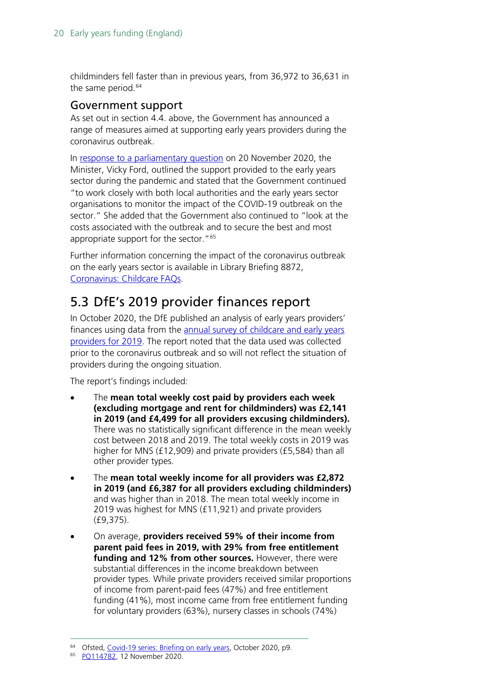childminders fell faster than in previous years, from 36,972 to 36,631 in the same period.<sup>[64](#page-19-2)</sup>

#### <span id="page-19-0"></span>Government support

As set out in section 4.4. above, the Government has announced a range of measures aimed at supporting early years providers during the coronavirus outbreak.

In [response to a parliamentary question](https://questions-statements.parliament.uk/written-questions/detail/2020-11-12/114782) on 20 November 2020, the Minister, Vicky Ford, outlined the support provided to the early years sector during the pandemic and stated that the Government continued "to work closely with both local authorities and the early years sector organisations to monitor the impact of the COVID-19 outbreak on the sector." She added that the Government also continued to "look at the costs associated with the outbreak and to secure the best and most appropriate support for the sector."<sup>[65](#page-19-3)</sup>

Further information concerning the impact of the coronavirus outbreak on the early years sector is available in Library Briefing 8872, [Coronavirus: Childcare FAQs.](https://commonslibrary.parliament.uk/research-briefings/cbp-8872/)

## <span id="page-19-1"></span>5.3 DfE's 2019 provider finances report

In October 2020, the DfE published an analysis of early years providers' finances using data from the [annual survey of childcare and early years](https://www.gov.uk/government/statistics/childcare-and-early-years-providers-survey-2019)  [providers for 2019.](https://www.gov.uk/government/statistics/childcare-and-early-years-providers-survey-2019) The report noted that the data used was collected prior to the coronavirus outbreak and so will not reflect the situation of providers during the ongoing situation.

The report's findings included:

- The **mean total weekly cost paid by providers each week (excluding mortgage and rent for childminders) was £2,141 in 2019 (and £4,499 for all providers excusing childminders).** There was no statistically significant difference in the mean weekly cost between 2018 and 2019. The total weekly costs in 2019 was higher for MNS (£12,909) and private providers (£5,584) than all other provider types.
- The **mean total weekly income for all providers was £2,872 in 2019 (and £6,387 for all providers excluding childminders)** and was higher than in 2018. The mean total weekly income in 2019 was highest for MNS (£11,921) and private providers (£9,375).
- On average, **providers received 59% of their income from parent paid fees in 2019, with 29% from free entitlement funding and 12% from other sources.** However, there were substantial differences in the income breakdown between provider types. While private providers received similar proportions of income from parent-paid fees (47%) and free entitlement funding (41%), most income came from free entitlement funding for voluntary providers (63%), nursery classes in schools (74%)

<span id="page-19-2"></span><sup>64</sup> Ofsted, [Covid-19 series: Briefing on early years,](https://www.gov.uk/government/publications/covid-19-series-briefing-on-early-years-october-2020) October 2020, p9.

<span id="page-19-3"></span><sup>65</sup> [PQ114782,](https://questions-statements.parliament.uk/written-questions/detail/2020-11-12/114782) 12 November 2020.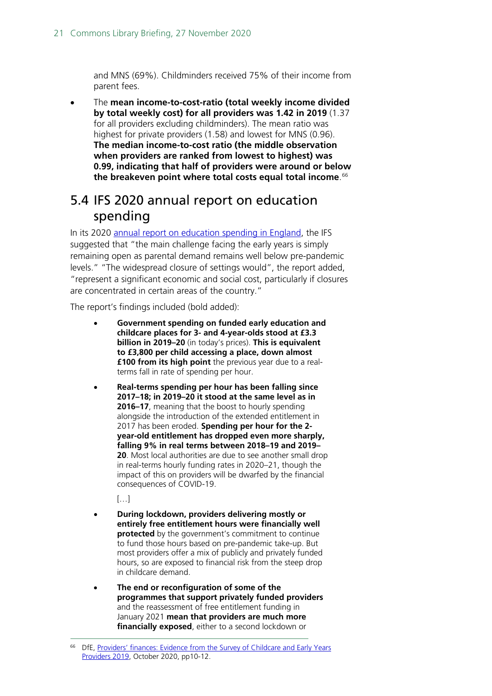and MNS (69%). Childminders received 75% of their income from parent fees.

• The **mean income-to-cost-ratio (total weekly income divided by total weekly cost) for all providers was 1.42 in 2019** (1.37 for all providers excluding childminders). The mean ratio was highest for private providers (1.58) and lowest for MNS (0.96). **The median income-to-cost ratio (the middle observation when providers are ranked from lowest to highest) was 0.99, indicating that half of providers were around or below the breakeven point where total costs equal total income**. [66](#page-20-1)

### <span id="page-20-0"></span>5.4 IFS 2020 annual report on education spending

In its 2020 [annual report on education spending in England,](https://www.ifs.org.uk/publications/15150?utm_source=HOC+Library+-+Current+awareness+bulletins&utm_campaign=4274cca2d6-Current_Awareness_Social_Policy_I_03-11-2020&utm_medium=email&utm_term=0_f325cdbfdc-4274cca2d6-103730665&mc_cid=4274cca2d6&mc_eid=799d91902d) the IFS suggested that "the main challenge facing the early years is simply remaining open as parental demand remains well below pre-pandemic levels." "The widespread closure of settings would", the report added, "represent a significant economic and social cost, particularly if closures are concentrated in certain areas of the country."

The report's findings included (bold added):

- **Government spending on funded early education and childcare places for 3- and 4-year-olds stood at £3.3 billion in 2019–20** (in today's prices). **This is equivalent to £3,800 per child accessing a place, down almost £100 from its high point** the previous year due to a realterms fall in rate of spending per hour.
- **Real-terms spending per hour has been falling since 2017–18; in 2019–20 it stood at the same level as in 2016–17**, meaning that the boost to hourly spending alongside the introduction of the extended entitlement in 2017 has been eroded. **Spending per hour for the 2 year-old entitlement has dropped even more sharply, falling 9% in real terms between 2018–19 and 2019– 20**. Most local authorities are due to see another small drop in real-terms hourly funding rates in 2020–21, though the impact of this on providers will be dwarfed by the financial consequences of COVID-19.

[…]

- **During lockdown, providers delivering mostly or entirely free entitlement hours were financially well protected** by the government's commitment to continue to fund those hours based on pre-pandemic take-up. But most providers offer a mix of publicly and privately funded hours, so are exposed to financial risk from the steep drop in childcare demand.
- **The end or reconfiguration of some of the programmes that support privately funded providers** and the reassessment of free entitlement funding in January 2021 **mean that providers are much more financially exposed**, either to a second lockdown or

<span id="page-20-1"></span>DfE, Providers' finances: Evidence from the Survey of Childcare and Early Years [Providers 2019,](https://www.gov.uk/government/publications/providers-finances-survey-of-childcare-and-ey-providers-2019?utm_source=75586f05-c3a1-4b92-bce5-2488bcdbefdc&utm_medium=email&utm_campaign=govuk-notifications&utm_content=daily) October 2020, pp10-12.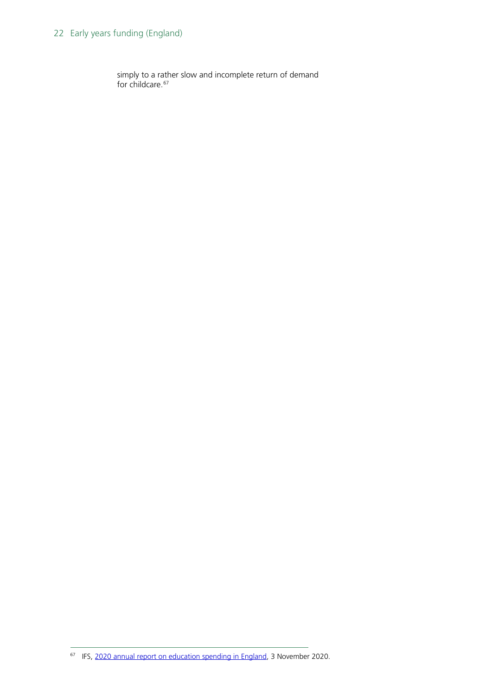#### 22 Early years funding (England)

simply to a rather slow and incomplete return of demand for childcare.<sup>[67](#page-21-0)</sup>

<span id="page-21-0"></span><sup>&</sup>lt;sup>67</sup> IFS[, 2020 annual report on education spending in England,](https://www.ifs.org.uk/publications/15150?utm_source=HOC+Library+-+Current+awareness+bulletins&utm_campaign=4274cca2d6-Current_Awareness_Social_Policy_I_03-11-2020&utm_medium=email&utm_term=0_f325cdbfdc-4274cca2d6-103730665&mc_cid=4274cca2d6&mc_eid=799d91902d) 3 November 2020.